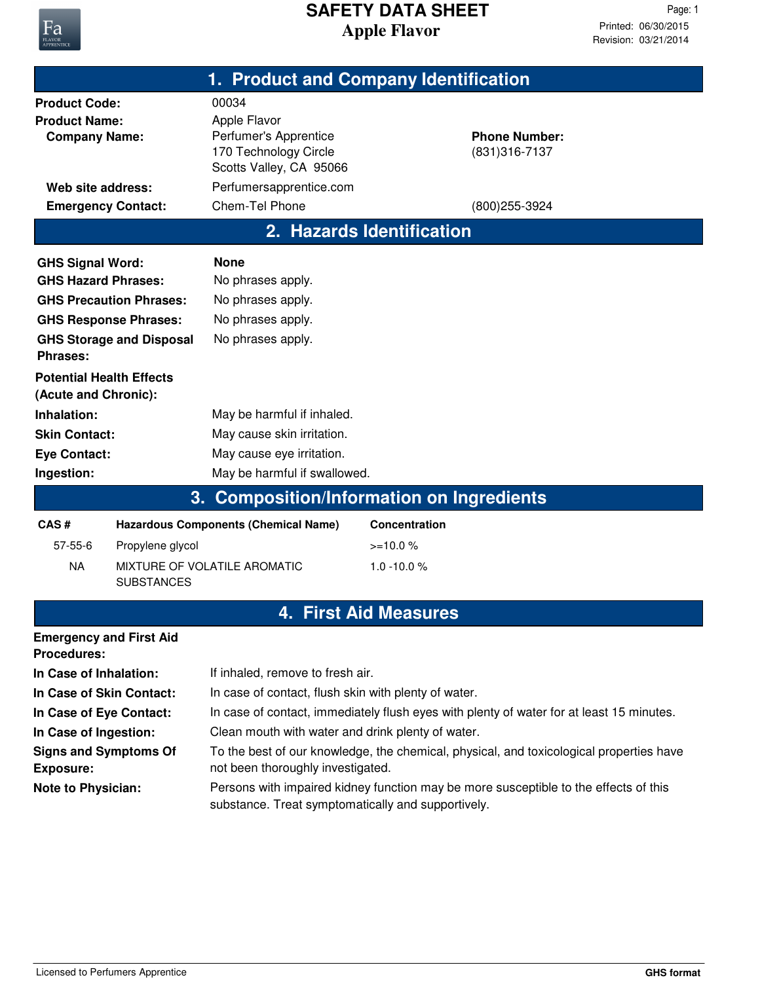

Revision: 03/21/2014 Printed: 06/30/2015 Page: 1

|                                                                                                                                                                                                          |                                                                                                   | 1. Product and Company Identification                                                                                                                                                                             |                                                     |                                        |  |
|----------------------------------------------------------------------------------------------------------------------------------------------------------------------------------------------------------|---------------------------------------------------------------------------------------------------|-------------------------------------------------------------------------------------------------------------------------------------------------------------------------------------------------------------------|-----------------------------------------------------|----------------------------------------|--|
| <b>Product Code:</b><br><b>Product Name:</b><br><b>Company Name:</b>                                                                                                                                     |                                                                                                   | 00034<br>Apple Flavor<br>Perfumer's Apprentice<br>170 Technology Circle<br>Scotts Valley, CA 95066                                                                                                                |                                                     | <b>Phone Number:</b><br>(831) 316-7137 |  |
| Web site address:                                                                                                                                                                                        |                                                                                                   | Perfumersapprentice.com                                                                                                                                                                                           |                                                     |                                        |  |
|                                                                                                                                                                                                          | <b>Emergency Contact:</b>                                                                         | Chem-Tel Phone                                                                                                                                                                                                    |                                                     | (800) 255-3924                         |  |
|                                                                                                                                                                                                          |                                                                                                   |                                                                                                                                                                                                                   | 2. Hazards Identification                           |                                        |  |
| <b>GHS Signal Word:</b><br><b>GHS Hazard Phrases:</b><br>Phrases:<br><b>Potential Health Effects</b><br>(Acute and Chronic):<br>Inhalation:<br><b>Skin Contact:</b><br><b>Eye Contact:</b><br>Ingestion: | <b>GHS Precaution Phrases:</b><br><b>GHS Response Phrases:</b><br><b>GHS Storage and Disposal</b> | None<br>No phrases apply.<br>No phrases apply.<br>No phrases apply.<br>No phrases apply.<br>May be harmful if inhaled.<br>May cause skin irritation.<br>May cause eye irritation.<br>May be harmful if swallowed. |                                                     |                                        |  |
|                                                                                                                                                                                                          | 3.                                                                                                | <b>Composition/Information on Ingredients</b>                                                                                                                                                                     |                                                     |                                        |  |
| CAS#<br>$57 - 55 - 6$<br>NA                                                                                                                                                                              | Propylene glycol<br><b>SUBSTANCES</b>                                                             | <b>Hazardous Components (Chemical Name)</b><br>MIXTURE OF VOLATILE AROMATIC                                                                                                                                       | <b>Concentration</b><br>$>=10.0%$<br>$1.0 - 10.0 %$ |                                        |  |
|                                                                                                                                                                                                          |                                                                                                   |                                                                                                                                                                                                                   | <b>4. First Aid Measures</b>                        |                                        |  |
| <b>Procedures:</b>                                                                                                                                                                                       | <b>Emergency and First Aid</b>                                                                    |                                                                                                                                                                                                                   |                                                     |                                        |  |
| In Case of Inhalation:                                                                                                                                                                                   |                                                                                                   | If inhaled, remove to fresh air.                                                                                                                                                                                  |                                                     |                                        |  |
| In Case of Skin Contact:                                                                                                                                                                                 |                                                                                                   | In case of contact, flush skin with plenty of water.                                                                                                                                                              |                                                     |                                        |  |

**In Case of Eye Contact:** In case of contact, immediately flush eyes with plenty of water for at least 15 minutes.

**In Case of Ingestion:** Clean mouth with water and drink plenty of water.

To the best of our knowledge, the chemical, physical, and toxicological properties have not been thoroughly investigated. **Signs and Symptoms Of Exposure:**

Persons with impaired kidney function may be more susceptible to the effects of this substance. Treat symptomatically and supportively. **Note to Physician:**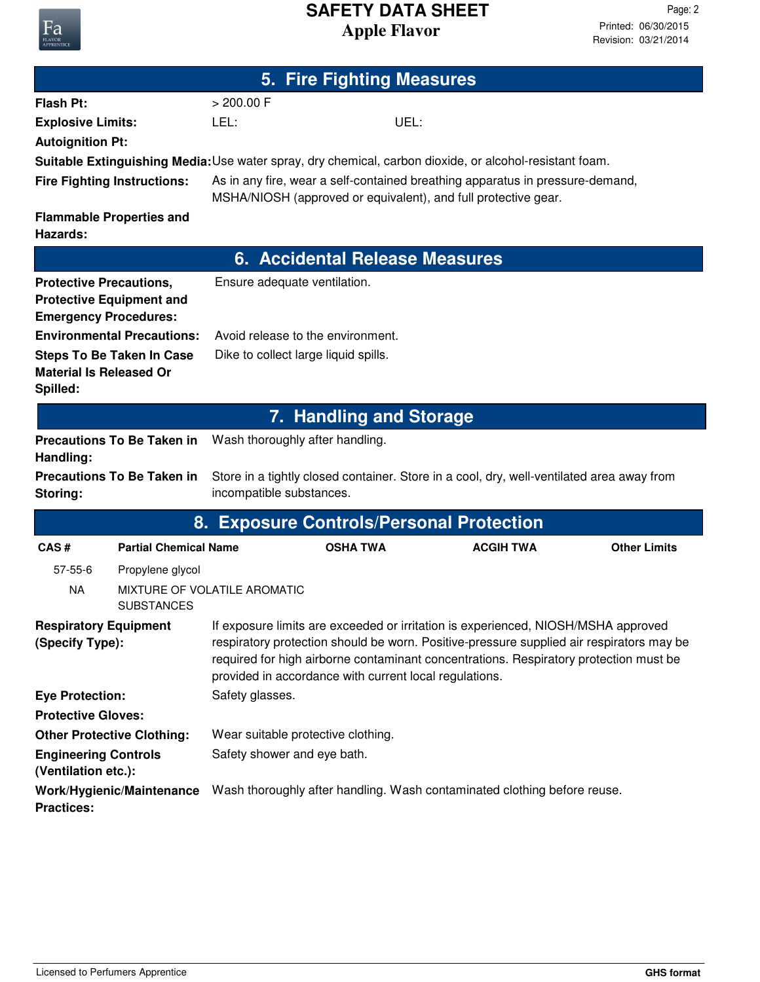|                                                                                                   |                                   |                                                                                                                                                                                                                                                                                                                                  | 5. Fire Fighting Measures             |                                                                                                         |                     |  |
|---------------------------------------------------------------------------------------------------|-----------------------------------|----------------------------------------------------------------------------------------------------------------------------------------------------------------------------------------------------------------------------------------------------------------------------------------------------------------------------------|---------------------------------------|---------------------------------------------------------------------------------------------------------|---------------------|--|
| <b>Flash Pt:</b>                                                                                  |                                   | > 200.00 F                                                                                                                                                                                                                                                                                                                       |                                       |                                                                                                         |                     |  |
| <b>Explosive Limits:</b>                                                                          |                                   | LEL:                                                                                                                                                                                                                                                                                                                             | UEL:                                  |                                                                                                         |                     |  |
| <b>Autoignition Pt:</b>                                                                           |                                   |                                                                                                                                                                                                                                                                                                                                  |                                       |                                                                                                         |                     |  |
|                                                                                                   |                                   |                                                                                                                                                                                                                                                                                                                                  |                                       | Suitable Extinguishing Media: Use water spray, dry chemical, carbon dioxide, or alcohol-resistant foam. |                     |  |
| <b>Fire Fighting Instructions:</b>                                                                |                                   | As in any fire, wear a self-contained breathing apparatus in pressure-demand,<br>MSHA/NIOSH (approved or equivalent), and full protective gear.                                                                                                                                                                                  |                                       |                                                                                                         |                     |  |
| Hazards:                                                                                          | <b>Flammable Properties and</b>   |                                                                                                                                                                                                                                                                                                                                  |                                       |                                                                                                         |                     |  |
|                                                                                                   |                                   |                                                                                                                                                                                                                                                                                                                                  | <b>6. Accidental Release Measures</b> |                                                                                                         |                     |  |
| <b>Protective Precautions,</b><br><b>Protective Equipment and</b><br><b>Emergency Procedures:</b> |                                   | Ensure adequate ventilation.                                                                                                                                                                                                                                                                                                     |                                       |                                                                                                         |                     |  |
|                                                                                                   | <b>Environmental Precautions:</b> | Avoid release to the environment.                                                                                                                                                                                                                                                                                                |                                       |                                                                                                         |                     |  |
| <b>Steps To Be Taken In Case</b><br><b>Material Is Released Or</b><br>Spilled:                    |                                   | Dike to collect large liquid spills.                                                                                                                                                                                                                                                                                             |                                       |                                                                                                         |                     |  |
|                                                                                                   |                                   |                                                                                                                                                                                                                                                                                                                                  | 7. Handling and Storage               |                                                                                                         |                     |  |
| Handling:                                                                                         | <b>Precautions To Be Taken in</b> | Wash thoroughly after handling.                                                                                                                                                                                                                                                                                                  |                                       |                                                                                                         |                     |  |
| Storing:                                                                                          | <b>Precautions To Be Taken in</b> | incompatible substances.                                                                                                                                                                                                                                                                                                         |                                       | Store in a tightly closed container. Store in a cool, dry, well-ventilated area away from               |                     |  |
|                                                                                                   | 8.                                |                                                                                                                                                                                                                                                                                                                                  |                                       | <b>Exposure Controls/Personal Protection</b>                                                            |                     |  |
| CAS#                                                                                              | <b>Partial Chemical Name</b>      |                                                                                                                                                                                                                                                                                                                                  | <b>OSHA TWA</b>                       | <b>ACGIH TWA</b>                                                                                        | <b>Other Limits</b> |  |
| $57 - 55 - 6$                                                                                     | Propylene glycol                  |                                                                                                                                                                                                                                                                                                                                  |                                       |                                                                                                         |                     |  |
| <b>NA</b>                                                                                         | <b>SUBSTANCES</b>                 | MIXTURE OF VOLATILE AROMATIC                                                                                                                                                                                                                                                                                                     |                                       |                                                                                                         |                     |  |
| <b>Respiratory Equipment</b><br>(Specify Type):                                                   |                                   | If exposure limits are exceeded or irritation is experienced, NIOSH/MSHA approved<br>respiratory protection should be worn. Positive-pressure supplied air respirators may be<br>required for high airborne contaminant concentrations. Respiratory protection must be<br>provided in accordance with current local regulations. |                                       |                                                                                                         |                     |  |
| <b>Eye Protection:</b>                                                                            |                                   | Safety glasses.                                                                                                                                                                                                                                                                                                                  |                                       |                                                                                                         |                     |  |
| <b>Protective Gloves:</b>                                                                         |                                   |                                                                                                                                                                                                                                                                                                                                  |                                       |                                                                                                         |                     |  |
| <b>Other Protective Clothing:</b>                                                                 |                                   | Wear suitable protective clothing.                                                                                                                                                                                                                                                                                               |                                       |                                                                                                         |                     |  |
| <b>Engineering Controls</b><br>(Ventilation etc.):                                                |                                   | Safety shower and eye bath.                                                                                                                                                                                                                                                                                                      |                                       |                                                                                                         |                     |  |
| Work/Hygienic/Maintenance<br><b>Practices:</b>                                                    |                                   | Wash thoroughly after handling. Wash contaminated clothing before reuse.                                                                                                                                                                                                                                                         |                                       |                                                                                                         |                     |  |

Fa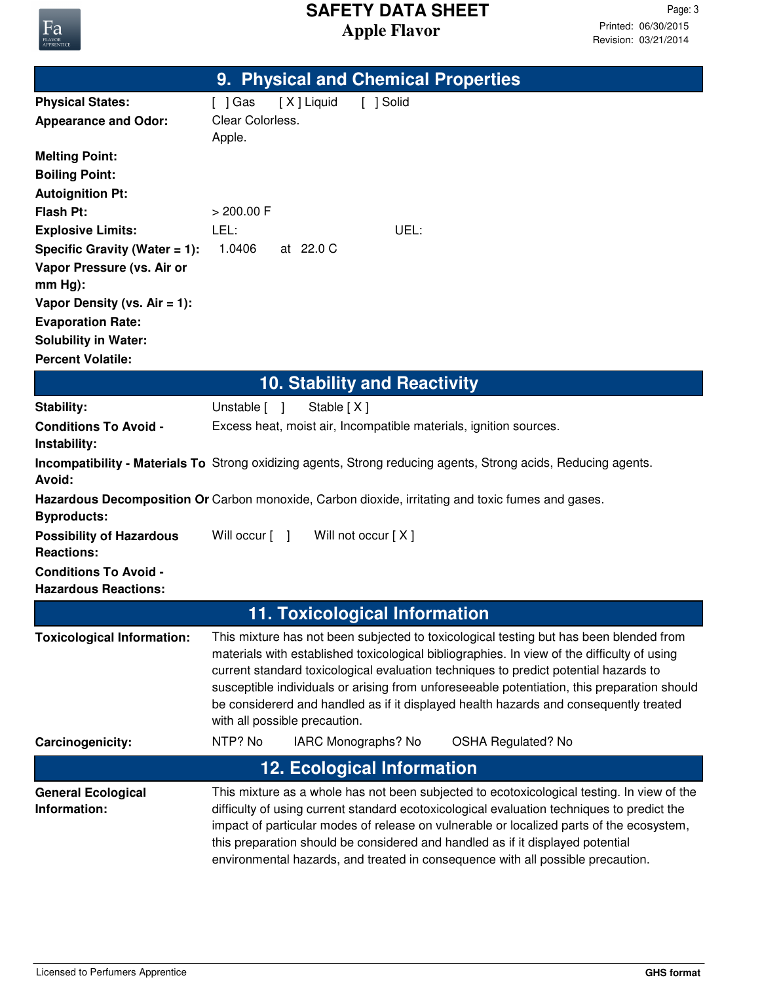

|                                                                | 9. Physical and Chemical Properties                                                                                                                                                                                                                                                                                                                                                                                                                                                                    |  |  |
|----------------------------------------------------------------|--------------------------------------------------------------------------------------------------------------------------------------------------------------------------------------------------------------------------------------------------------------------------------------------------------------------------------------------------------------------------------------------------------------------------------------------------------------------------------------------------------|--|--|
| <b>Physical States:</b>                                        | [X] Liquid<br>[ ] Solid<br>[ ] Gas                                                                                                                                                                                                                                                                                                                                                                                                                                                                     |  |  |
| <b>Appearance and Odor:</b>                                    | Clear Colorless.<br>Apple.                                                                                                                                                                                                                                                                                                                                                                                                                                                                             |  |  |
| <b>Melting Point:</b>                                          |                                                                                                                                                                                                                                                                                                                                                                                                                                                                                                        |  |  |
| <b>Boiling Point:</b>                                          |                                                                                                                                                                                                                                                                                                                                                                                                                                                                                                        |  |  |
| <b>Autoignition Pt:</b>                                        |                                                                                                                                                                                                                                                                                                                                                                                                                                                                                                        |  |  |
| <b>Flash Pt:</b>                                               | > 200.00 F                                                                                                                                                                                                                                                                                                                                                                                                                                                                                             |  |  |
| <b>Explosive Limits:</b>                                       | LEL:<br>UEL:<br>1.0406<br>at 22.0 C                                                                                                                                                                                                                                                                                                                                                                                                                                                                    |  |  |
| Specific Gravity (Water $= 1$ ):<br>Vapor Pressure (vs. Air or |                                                                                                                                                                                                                                                                                                                                                                                                                                                                                                        |  |  |
| $mm Hg$ :<br>Vapor Density (vs. $Air = 1$ ):                   |                                                                                                                                                                                                                                                                                                                                                                                                                                                                                                        |  |  |
| <b>Evaporation Rate:</b>                                       |                                                                                                                                                                                                                                                                                                                                                                                                                                                                                                        |  |  |
| <b>Solubility in Water:</b>                                    |                                                                                                                                                                                                                                                                                                                                                                                                                                                                                                        |  |  |
| <b>Percent Volatile:</b>                                       |                                                                                                                                                                                                                                                                                                                                                                                                                                                                                                        |  |  |
|                                                                | <b>10. Stability and Reactivity</b>                                                                                                                                                                                                                                                                                                                                                                                                                                                                    |  |  |
| <b>Stability:</b>                                              | Unstable [ ]<br>Stable [X]                                                                                                                                                                                                                                                                                                                                                                                                                                                                             |  |  |
| <b>Conditions To Avoid -</b><br>Instability:                   | Excess heat, moist air, Incompatible materials, ignition sources.                                                                                                                                                                                                                                                                                                                                                                                                                                      |  |  |
|                                                                | <b>Incompatibility - Materials To</b> Strong oxidizing agents, Strong reducing agents, Strong acids, Reducing agents.                                                                                                                                                                                                                                                                                                                                                                                  |  |  |
| Avoid:                                                         |                                                                                                                                                                                                                                                                                                                                                                                                                                                                                                        |  |  |
| <b>Byproducts:</b>                                             | Hazardous Decomposition Or Carbon monoxide, Carbon dioxide, irritating and toxic fumes and gases.                                                                                                                                                                                                                                                                                                                                                                                                      |  |  |
| <b>Possibility of Hazardous</b><br><b>Reactions:</b>           | Will occur $\lceil \quad \rceil$<br>Will not occur [X]                                                                                                                                                                                                                                                                                                                                                                                                                                                 |  |  |
| <b>Conditions To Avoid -</b>                                   |                                                                                                                                                                                                                                                                                                                                                                                                                                                                                                        |  |  |
| <b>Hazardous Reactions:</b>                                    |                                                                                                                                                                                                                                                                                                                                                                                                                                                                                                        |  |  |
| 11. Toxicological Information                                  |                                                                                                                                                                                                                                                                                                                                                                                                                                                                                                        |  |  |
| <b>Toxicological Information:</b>                              | This mixture has not been subjected to toxicological testing but has been blended from<br>materials with established toxicological bibliographies. In view of the difficulty of using<br>current standard toxicological evaluation techniques to predict potential hazards to<br>susceptible individuals or arising from unforeseeable potentiation, this preparation should<br>be considererd and handled as if it displayed health hazards and consequently treated<br>with all possible precaution. |  |  |
| Carcinogenicity:                                               | NTP? No<br>IARC Monographs? No<br><b>OSHA Regulated? No</b>                                                                                                                                                                                                                                                                                                                                                                                                                                            |  |  |
|                                                                | <b>12. Ecological Information</b>                                                                                                                                                                                                                                                                                                                                                                                                                                                                      |  |  |
| <b>General Ecological</b><br>Information:                      | This mixture as a whole has not been subjected to ecotoxicological testing. In view of the<br>difficulty of using current standard ecotoxicological evaluation techniques to predict the<br>impact of particular modes of release on vulnerable or localized parts of the ecosystem,<br>this preparation should be considered and handled as if it displayed potential<br>environmental hazards, and treated in consequence with all possible precaution.                                              |  |  |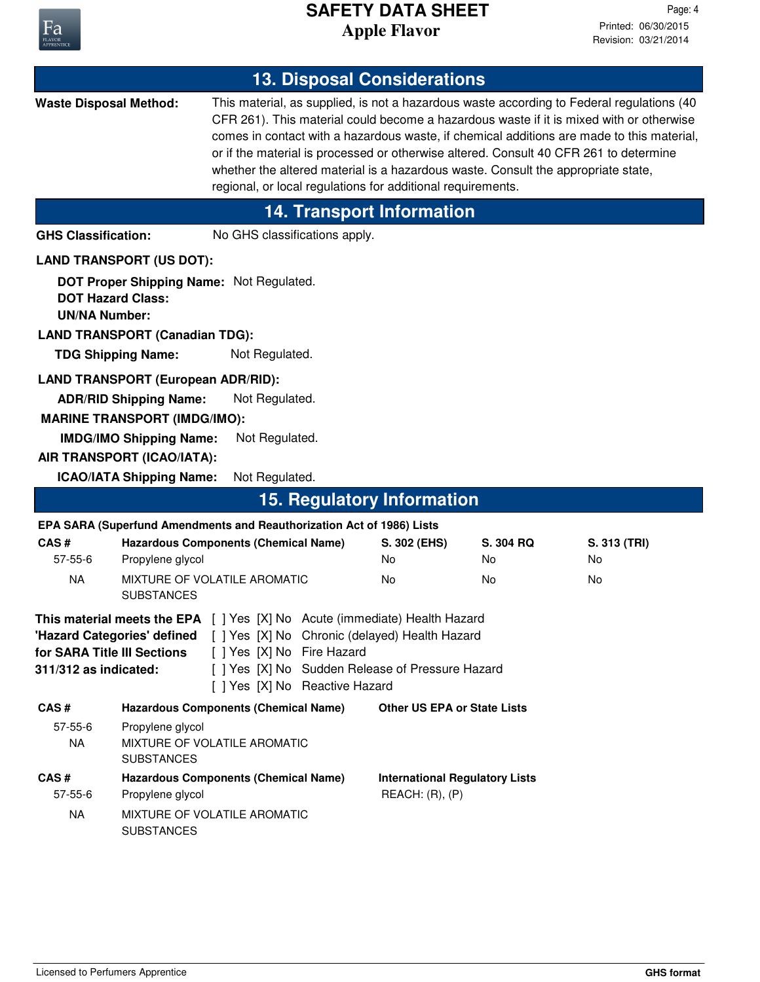

|                                                                                                                                                                                                                                                                                                                                             |                                                                            |                                                                       |  | <b>13. Disposal Considerations</b>                          |                                                                                   |                                                                                                                                                                                                                                                                                                                                                                            |
|---------------------------------------------------------------------------------------------------------------------------------------------------------------------------------------------------------------------------------------------------------------------------------------------------------------------------------------------|----------------------------------------------------------------------------|-----------------------------------------------------------------------|--|-------------------------------------------------------------|-----------------------------------------------------------------------------------|----------------------------------------------------------------------------------------------------------------------------------------------------------------------------------------------------------------------------------------------------------------------------------------------------------------------------------------------------------------------------|
| <b>Waste Disposal Method:</b>                                                                                                                                                                                                                                                                                                               |                                                                            |                                                                       |  | regional, or local regulations for additional requirements. | whether the altered material is a hazardous waste. Consult the appropriate state, | This material, as supplied, is not a hazardous waste according to Federal regulations (40<br>CFR 261). This material could become a hazardous waste if it is mixed with or otherwise<br>comes in contact with a hazardous waste, if chemical additions are made to this material,<br>or if the material is processed or otherwise altered. Consult 40 CFR 261 to determine |
|                                                                                                                                                                                                                                                                                                                                             |                                                                            |                                                                       |  | <b>14. Transport Information</b>                            |                                                                                   |                                                                                                                                                                                                                                                                                                                                                                            |
| <b>GHS Classification:</b>                                                                                                                                                                                                                                                                                                                  |                                                                            | No GHS classifications apply.                                         |  |                                                             |                                                                                   |                                                                                                                                                                                                                                                                                                                                                                            |
|                                                                                                                                                                                                                                                                                                                                             | <b>LAND TRANSPORT (US DOT):</b>                                            |                                                                       |  |                                                             |                                                                                   |                                                                                                                                                                                                                                                                                                                                                                            |
| <b>DOT Hazard Class:</b><br><b>UN/NA Number:</b>                                                                                                                                                                                                                                                                                            | <b>LAND TRANSPORT (Canadian TDG):</b><br><b>TDG Shipping Name:</b>         | <b>DOT Proper Shipping Name: Not Regulated.</b><br>Not Regulated.     |  |                                                             |                                                                                   |                                                                                                                                                                                                                                                                                                                                                                            |
|                                                                                                                                                                                                                                                                                                                                             |                                                                            |                                                                       |  |                                                             |                                                                                   |                                                                                                                                                                                                                                                                                                                                                                            |
|                                                                                                                                                                                                                                                                                                                                             | <b>LAND TRANSPORT (European ADR/RID):</b><br><b>ADR/RID Shipping Name:</b> | Not Regulated.                                                        |  |                                                             |                                                                                   |                                                                                                                                                                                                                                                                                                                                                                            |
|                                                                                                                                                                                                                                                                                                                                             | <b>MARINE TRANSPORT (IMDG/IMO):</b>                                        |                                                                       |  |                                                             |                                                                                   |                                                                                                                                                                                                                                                                                                                                                                            |
|                                                                                                                                                                                                                                                                                                                                             | <b>IMDG/IMO Shipping Name:</b>                                             | Not Regulated.                                                        |  |                                                             |                                                                                   |                                                                                                                                                                                                                                                                                                                                                                            |
|                                                                                                                                                                                                                                                                                                                                             | AIR TRANSPORT (ICAO/IATA):                                                 |                                                                       |  |                                                             |                                                                                   |                                                                                                                                                                                                                                                                                                                                                                            |
|                                                                                                                                                                                                                                                                                                                                             | <b>ICAO/IATA Shipping Name:</b>                                            | Not Regulated.                                                        |  |                                                             |                                                                                   |                                                                                                                                                                                                                                                                                                                                                                            |
|                                                                                                                                                                                                                                                                                                                                             |                                                                            |                                                                       |  | <b>15. Regulatory Information</b>                           |                                                                                   |                                                                                                                                                                                                                                                                                                                                                                            |
|                                                                                                                                                                                                                                                                                                                                             |                                                                            | EPA SARA (Superfund Amendments and Reauthorization Act of 1986) Lists |  |                                                             |                                                                                   |                                                                                                                                                                                                                                                                                                                                                                            |
| CAS#                                                                                                                                                                                                                                                                                                                                        |                                                                            | <b>Hazardous Components (Chemical Name)</b>                           |  | S. 302 (EHS)                                                | S. 304 RQ                                                                         | S. 313 (TRI)                                                                                                                                                                                                                                                                                                                                                               |
| $57 - 55 - 6$                                                                                                                                                                                                                                                                                                                               | Propylene glycol                                                           |                                                                       |  | No                                                          | No                                                                                | No.                                                                                                                                                                                                                                                                                                                                                                        |
| <b>NA</b>                                                                                                                                                                                                                                                                                                                                   | <b>SUBSTANCES</b>                                                          | MIXTURE OF VOLATILE AROMATIC                                          |  | No                                                          | No                                                                                | No                                                                                                                                                                                                                                                                                                                                                                         |
| <b>This material meets the EPA</b> [ ] Yes [X] No Acute (immediate) Health Hazard<br>'Hazard Categories' defined [ ] Yes [X] No Chronic (delayed) Health Hazard<br>for SARA Title III Sections<br>[ ] Yes [X] No Fire Hazard<br>[ ] Yes [X] No Sudden Release of Pressure Hazard<br>311/312 as indicated:<br>[ ] Yes [X] No Reactive Hazard |                                                                            |                                                                       |  |                                                             |                                                                                   |                                                                                                                                                                                                                                                                                                                                                                            |
| CAS#                                                                                                                                                                                                                                                                                                                                        |                                                                            | <b>Hazardous Components (Chemical Name)</b>                           |  | <b>Other US EPA or State Lists</b>                          |                                                                                   |                                                                                                                                                                                                                                                                                                                                                                            |
| $57 - 55 - 6$<br><b>NA</b>                                                                                                                                                                                                                                                                                                                  | Propylene glycol<br><b>SUBSTANCES</b>                                      | MIXTURE OF VOLATILE AROMATIC                                          |  |                                                             |                                                                                   |                                                                                                                                                                                                                                                                                                                                                                            |
| CAS#<br>$57 - 55 - 6$                                                                                                                                                                                                                                                                                                                       | Propylene glycol                                                           | <b>Hazardous Components (Chemical Name)</b>                           |  | <b>International Regulatory Lists</b><br>REACH: (R), (P)    |                                                                                   |                                                                                                                                                                                                                                                                                                                                                                            |
| <b>NA</b>                                                                                                                                                                                                                                                                                                                                   | <b>SUBSTANCES</b>                                                          | MIXTURE OF VOLATILE AROMATIC                                          |  |                                                             |                                                                                   |                                                                                                                                                                                                                                                                                                                                                                            |